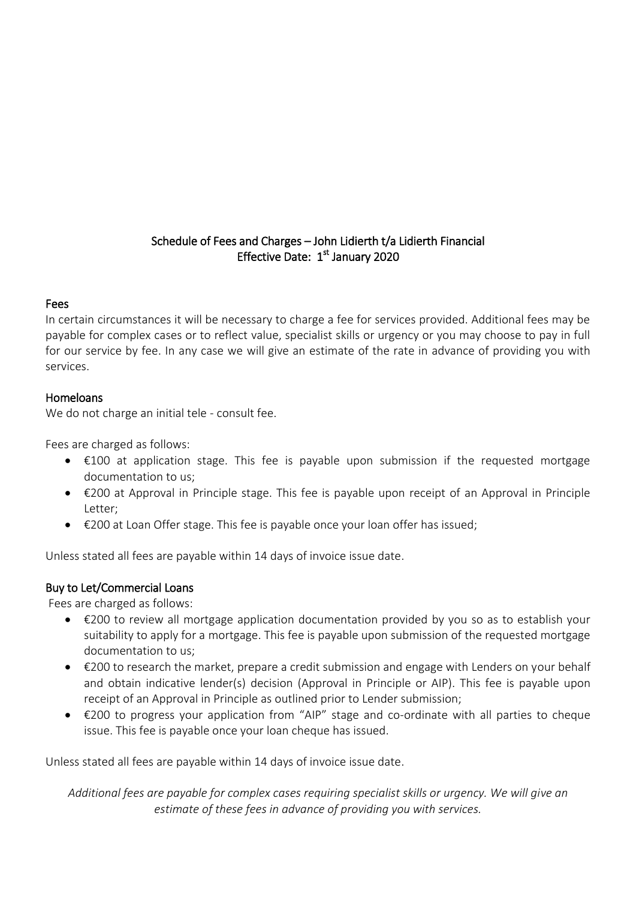# Schedule of Fees and Charges – John Lidierth t/a Lidierth Financial Effective Date: 1<sup>st</sup> January 2020

### Fees

In certain circumstances it will be necessary to charge a fee for services provided. Additional fees may be payable for complex cases or to reflect value, specialist skills or urgency or you may choose to pay in full for our service by fee. In any case we will give an estimate of the rate in advance of providing you with services.

#### Homeloans

We do not charge an initial tele - consult fee.

Fees are charged as follows:

- €100 at application stage. This fee is payable upon submission if the requested mortgage documentation to us;
- €200 at Approval in Principle stage. This fee is payable upon receipt of an Approval in Principle Letter;
- €200 at Loan Offer stage. This fee is payable once your loan offer has issued;

Unless stated all fees are payable within 14 days of invoice issue date.

## Buy to Let/Commercial Loans

Fees are charged as follows:

- €200 to review all mortgage application documentation provided by you so as to establish your suitability to apply for a mortgage. This fee is payable upon submission of the requested mortgage documentation to us;
- €200 to research the market, prepare a credit submission and engage with Lenders on your behalf and obtain indicative lender(s) decision (Approval in Principle or AIP). This fee is payable upon receipt of an Approval in Principle as outlined prior to Lender submission;
- €200 to progress your application from "AIP" stage and co-ordinate with all parties to cheque issue. This fee is payable once your loan cheque has issued.

Unless stated all fees are payable within 14 days of invoice issue date.

*Additional fees are payable for complex cases requiring specialist skills or urgency. We will give an estimate of these fees in advance of providing you with services.*